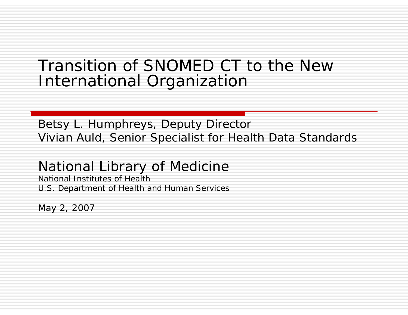### Transition of SNOMED CT to the New International Organization

### Betsy L. Humphreys, Deputy Director Vivian Auld, Senior Specialist for Health Data Standards

### National Library of Medicine

National Institutes of Health U.S. Department of Health and Human Services

May 2, 2007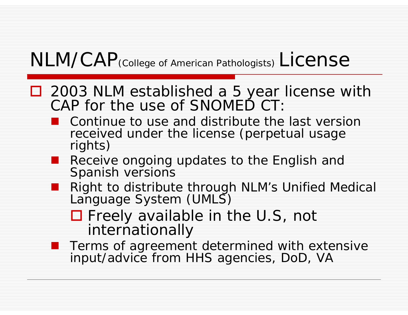## NLM/CAP (College of American Pathologists) License

- 2003 NLM established a 5 year license with CAP for the use of SNOMED CT:
	- Continue to use and distribute the last version received under the license (perpetual usage rights)
	- Receive ongoing updates to the English and Spanish versions
	- Right to distribute through NLM's Unified Medical Language System (UMLS)

□ Freely available in the U.S, not internationally

■ Terms of agreement determined with extensive<br>input/advice from HHS agencies, DoD, VA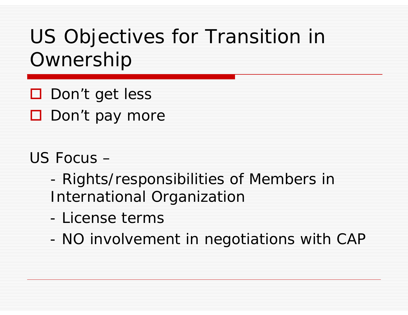# US Objectives for Transition in Ownership

- □ Don't get less
- Don't pay more

### US Focus –

- - Rights/responsibilities of Members in International Organization
- License terms
- -NO involvement in negotiations with CAP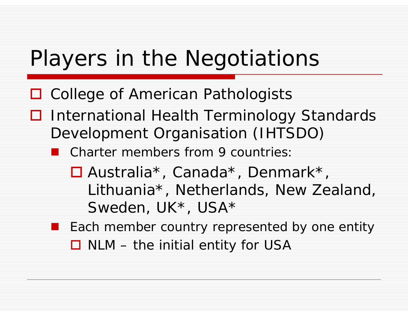# Players in the Negotiations

- □ College of American Pathologists
- **□** International Health Terminology Standards Development Organisation (IHTSDO)
	- Charter members from 9 countries:
		- Australia\*, Canada\*, Denmark\*, Lithuania\*, Netherlands, New Zealand, Sweden, UK\*, USA\*
	- **Each member country represented by one entity**  $\square$  NLM – the initial entity for USA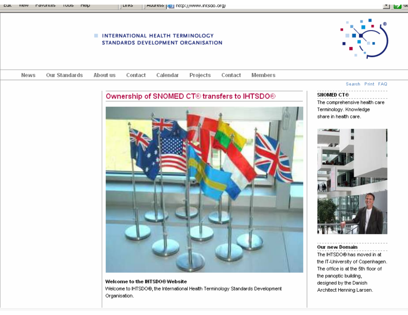#### **M** E.

#### INTERNATIONAL HEALTH TERMINOLOGY STANDARDS DEVELOPMENT ORGANISATION

אוווון ד





Welcome to the IHTSD0® Website Welcome to IHTSDO®, the International Health Terminology Standards Development Organisation.

#### Search Print FAQ

**SNOMED CT®** The comprehensive health care Terminology, Knowledge share in health care.



#### Our new Domain

The IHTSDO® has moved in at the IT-University of Copenhagen. The office is at the 5th floor of the panoptic building, designed by the Danish Architect Henning Larsen.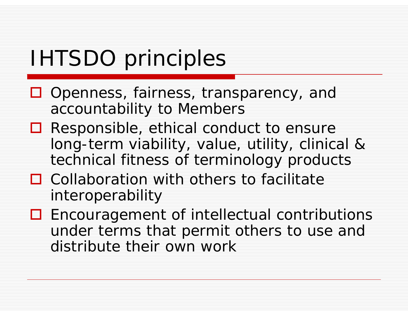# IHTSDO principles

- □ Openness, fairness, transparency, and accountability to Members
- **□** Responsible, ethical conduct to ensure long-term viability, value, utility, clinical & technical fitness of terminology products
- $\Box$  Collaboration with others to facilitate interoperability
- **□** Encouragement of intellectual contributions under terms that permit others to use and distribute their own work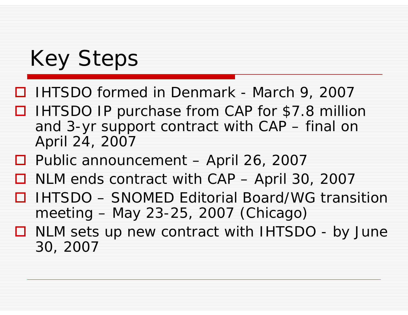# Key Steps

- IHTSDO formed in Denmark March 9, 2007
- □ IHTSDO IP purchase from CAP for \$7.8 million and 3-yr support contract with CAP – final on April 24, 2007
- □ Public announcement April 26, 2007
- $\Box$ NLM ends contract with CAP – April 30, 2007
- 0 IHTSDO – SNOMED Editorial Board/WG transition meeting – May 23-25, 2007 (Chicago)
- NLM sets up new contract with IHTSDO by June 30, 2007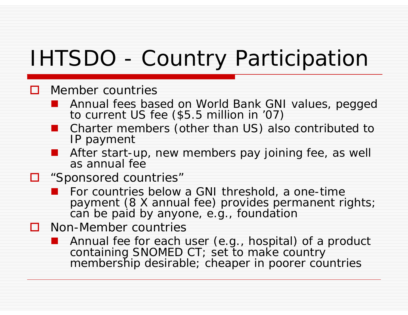# IHTSDO - Country Participation

#### $\Box$ Member countries

- Annual fees based on World Bank GNI values, pegged to current US fee (\$5.5 million in '07)
- Charter members (other than US) also contributed to IP payment
- After start-up, new members pay joining fee, as well as annual fee
- □ "Sponsored countries"
	- For countries below a GNI threshold, a one-time payment (8 X annual fee) provides permanent rights; can be paid by anyone, e.g., foundation
- **O** Non-Member countries
	- **Annual fee for each user (e.g., hospital) of a product** containing SNOMED CT; set to make country membership desirable; cheaper in poorer countries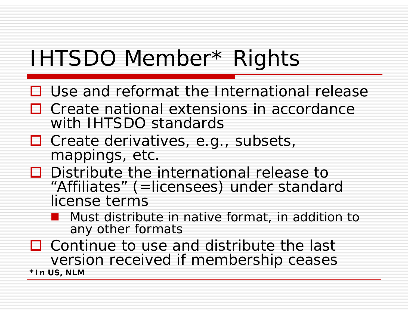# IHTSDO Member\* Rights

- $\Box$  Use and reformat the International release
- $\Box$  Create national extensions in accordance with IHTSDO standards
- □ Create derivatives, e.g., subsets, mappings, etc.
- $\square$  Distribute the international release to "Affiliates" (=licensees) under standard license terms
	- Must distribute in native format, in addition to any other formats

 $\Box$  Continue to use and distribute the last version received if membership ceases **\*In US, NLM**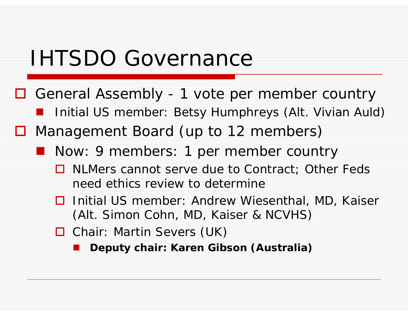## IHTSDO Governance

- General Assembly 1 vote per member country
	- **I** Initial US member: Betsy Humphreys (Alt. Vivian Auld)
- □ Management Board (up to 12 members)
	- **Now: 9 members: 1 per member country** 
		- **□** NLMers cannot serve due to Contract; Other Feds need ethics review to determine
		- **□** Initial US member: Andrew Wiesenthal, MD, Kaiser (Alt. Simon Cohn, MD, Kaiser & NCVHS)
		- □ Chair: Martin Severs (UK)
			- **Deputy chair: Karen Gibson (Australia)**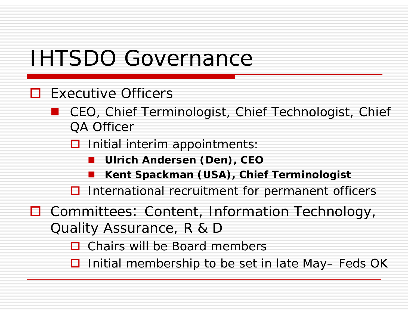# IHTSDO Governance

### $\Box$  Executive Officers

 CEO, Chief Terminologist, Chief Technologist, Chief QA Officer

**□** Initial *interim* appointments:

- **Ulrich Andersen (Den), CEO**
- **Kent Spackman (USA), Chief Terminologist**

 $\Box$  International recruitment for permanent officers

□ Committees: Content, Information Technology, Quality Assurance, R & D

**□** Chairs will be Board members

□ Initial membership to be set in late May– Feds OK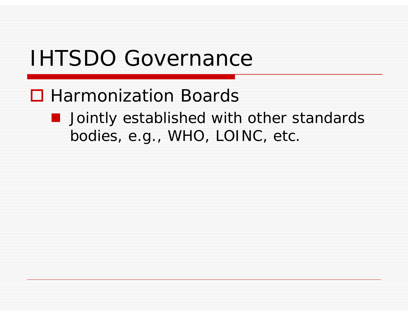# IHTSDO Governance

## **□ Harmonization Boards**

**Demographied with other standards** bodies, e.g., WHO, LOINC, etc.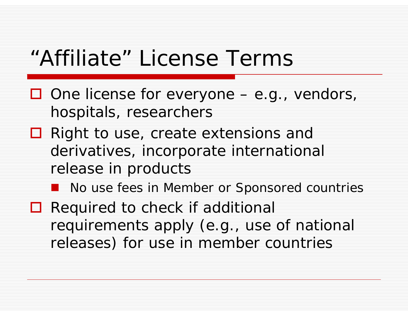## "Affiliate" License Terms

- $\Box$  One license for everyone  $-$  e.g., vendors, hospitals, researchers
- **□** Right to use, create extensions and derivatives, incorporate international release in products

#### **No use fees in Member or Sponsored countries**

 $\Box$  Required to check if additional requirements apply (e.g., use of national releases) for use in member countries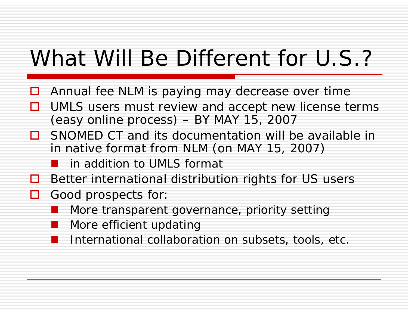# What Will Be Different for U.S.?

- $\Box$ Annual fee NLM is paying may decrease over time
- П UMLS users must review and accept new license terms (easy online process) – BY MAY 15, 2007
- □ SNOMED CT and its documentation will be available in in native format from NLM (on MAY 15, 2007)
	- an<br>Ma in addition to UMLS format
- $\Box$ Better international distribution rights for US users
- Good prospects for
	- an<br>Ma More transparent governance, priority setting
	- More efficient updating
	- International collaboration on subsets, tools, etc.